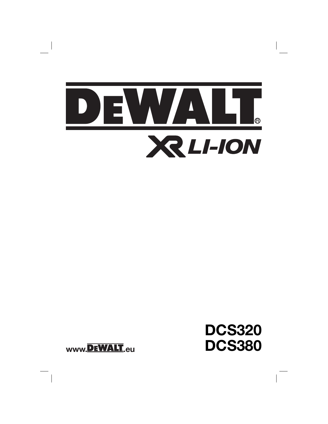

# **DCS320**

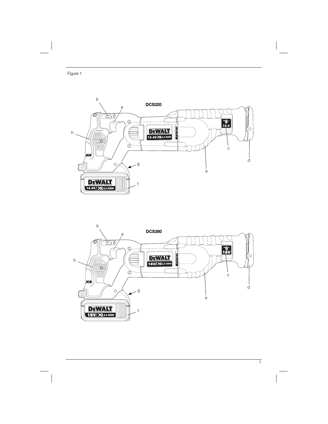Figure 1

 $\begin{array}{c} \hline \end{array}$ 

 $\overline{\phantom{a}}$ 





 $\overline{1}$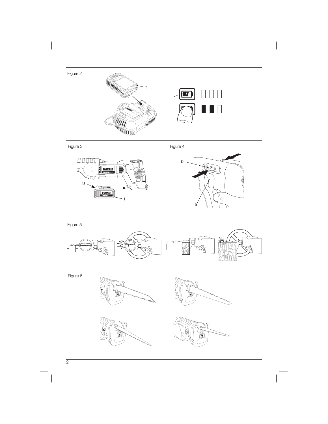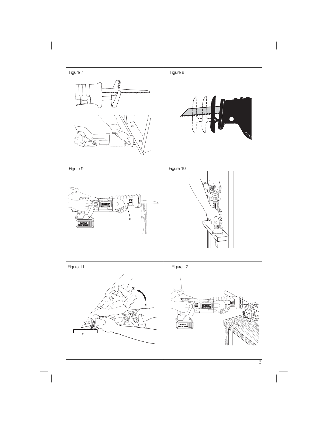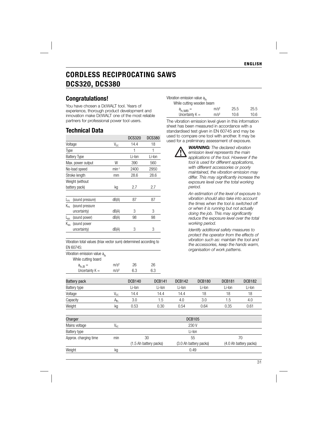# **CORDLESS RECIPROCATING SAWS DCS320, DCS380**

## **Congratulations!**

You have chosen a DEWALT tool. Years of experience, thorough product development and innovation make DEWALT one of the most reliable partners for professional power tool users.

## **Technical Data**

|                                  |                 | <b>DCS320</b> | <b>DCS380</b> |
|----------------------------------|-----------------|---------------|---------------|
| Voltage                          | $V_{\text{DC}}$ | 14.4          | 18            |
| Type                             |                 | 1             | 1             |
| <b>Battery Type</b>              |                 | Li-Ion        | Li-lon        |
| Max. power output                | W               | 390           | 560           |
| No-load speed                    | $min-1$         | 2400          | 2950          |
| Stroke length                    | mm              | 28.6          | 28.6          |
| Weight (without                  |                 |               |               |
| battery pack)                    | kg              | 2.7           | 2.7           |
| (sound pressure)<br>$L_{PA}$     | dB(A)           | 87            | 87            |
| Kpa<br>(sound pressure           |                 |               |               |
| uncertainty)                     | dB(A)           | 3             | 3             |
| (sound power)<br>L <sub>WA</sub> | dB(A)           | 98            | 98            |
| K <sub>wa</sub><br>(sound power  |                 |               |               |
| uncertainty)                     | dB(A)           | 3             | 3             |

Vibration total values (triax vector sum) determined according to EN 60745:

Vibration emission value  $a<sub>h</sub>$ 

| While cutting board |                  |     |     |
|---------------------|------------------|-----|-----|
| $a_{h,B} =$         | m/s <sup>2</sup> | 26  | 26  |
| Uncertainty $K =$   | m/s <sup>2</sup> | 6.3 | 6.3 |

Vibration emission value  $a_h$ <br>While suffice weeden by

| While cutting wooden beam |                  |      |      |
|---------------------------|------------------|------|------|
| $a_{h,WB} =$              | m/s <sup>2</sup> | 25.5 | 25.5 |
| Uncertainty $K =$         | m/s <sup>2</sup> | 10.6 | 10.6 |

The vibration emission level given in this information sheet has been measured in accordance with a standardised test given in EN 60745 and may be used to compare one tool with another. It may be used for a preliminary assessment of exposure.



 *WARNING:* The declared vibration emission level represents the main applications of the tool. However if the tool is used for different applications, with different accessories or poorly maintained, the vibration emission may differ. This may significantly increase the exposure level over the total working period.

 An estimation of the level of exposure to vibration should also take into account the times when the tool is switched off or when it is running but not actually doing the job. This may significantly reduce the exposure level over the total working period.

 Identify additional safety measures to protect the operator from the effects of vibration such as: maintain the tool and the accessories, keep the hands warm, organisation of work patterns.

| <b>Battery pack</b> |                            | <b>DCB140</b> | <b>DCB141</b> | <b>DCB142</b> | <b>DCB180</b> | <b>DCB181</b> | <b>DCB182</b> |
|---------------------|----------------------------|---------------|---------------|---------------|---------------|---------------|---------------|
| Battery type        |                            | $Li$ -Ion     | Li-Ion        | Li-Ion        | i-lon         | Li-Ion        | Li-Ion        |
| Voltage             | $\mathsf{V}_{\mathsf{DC}}$ | 14.4          | 14.4          | 14.4          | 18            | 18            | 18            |
| Capacity            | Нh                         | 3.0           | 1.5           | 4.0           | 3.0           | 1.5           | 4.0           |
| Weight              | kg                         | 0.53          | 0.30          | 0.54          | 0.64          | 0.35          | 0.61          |

| Charger               |          |                        | <b>DCB105</b>          |                        |
|-----------------------|----------|------------------------|------------------------|------------------------|
| Mains voltage         | $V_{AC}$ |                        | 230 V                  |                        |
| Battery type          |          |                        | $Li$ -lon              |                        |
| Approx. charging time | min      | 30                     | 55                     | 70                     |
|                       |          | (1.5 Ah battery packs) | (3.0 Ah battery packs) | (4.0 Ah battery packs) |
| Weight                | kg       |                        | 0.49                   |                        |
|                       |          |                        |                        |                        |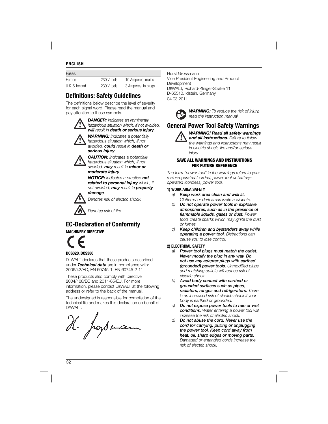| Fuses:         |             |                     |
|----------------|-------------|---------------------|
| Europe         | 230 V tools | 10 Amperes, mains   |
| U.K. & Ireland | 230 V tools | 3 Amperes, in plugs |

## **Definitions: Safety Guidelines**

The definitions below describe the level of severity for each signal word. Please read the manual and pay attention to these symbols.



**DANGER:** Indicates an imminently hazardous situation which, if not avoided, *will* result in *death or serious injury*. **WARNING:** Indicates a potentially



hazardous situation which, if not avoided, *could* result in *death or serious injury*.



**CAUTION:** Indicates a potentially hazardous situation which, if not avoided, *may* result in *minor or* 

*moderate injury*.  *NOTICE:* Indicates a practice *not related to personal injury* which, if not avoided, *may* result in *property damage*.



Denotes risk of electric shock.

Denotes risk of fire.

# **EC-Declaration of Conformity MACHINERY DIRECTIVE**

**DCS320, DCS380**

DEWALT declares that these products described under *Technical data* are in compliance with: 2006/42/EC, EN 60745-1, EN 60745-2-11

These products also comply with Directive 2004/108/EC and 2011/65/EU. For more information, please contact DEWALT at the following address or refer to the back of the manual.

The undersigned is responsible for compilation of the technical file and makes this declaration on behalf of DEWALT.

1. portuan

Horst Grossmann Vice President Engineering and Product **Development** DEWALT, Richard-Klinger-Straße 11, D-65510, Idstein, Germany 04.03.2011



 *WARNING:* To reduce the risk of injury, read the instruction manual.

# **General Power Tool Safety Warnings**

 *WARNING! Read all safety warnings and all instructions.* Failure to follow



#### **SAVE ALL WARNINGS AND INSTRUCTIONS FOR FUTURE REFERENCE**

The term "power tool" in the warnings refers to your mains-operated (corded) power tool or batteryoperated (cordless) power tool.

#### **1) WORK AREA SAFETY**

- a) *Keep work area clean and well lit.*  Cluttered or dark areas invite accidents.
- b) *Do not operate power tools in explosive atmospheres, such as in the presence of flammable liquids, gases or dust.* Power tools create sparks which may ignite the dust or fumes.
- c) *Keep children and bystanders away while operating a power tool.* Distractions can cause you to lose control.

## **2) ELECTRICAL SAFETY**

- a) *Power tool plugs must match the outlet. Never modify the plug in any way. Do not use any adapter plugs with earthed (grounded) power tools.* Unmodified plugs and matching outlets will reduce risk of electric shock.
- b) *Avoid body contact with earthed or grounded surfaces such as pipes, radiators, ranges and refrigerators.* There is an increased risk of electric shock if your body is earthed or grounded.
- c) *Do not expose power tools to rain or wet conditions.* Water entering a power tool will increase the risk of electric shock.
- d) *Do not abuse the cord. Never use the cord for carrying, pulling or unplugging the power tool. Keep cord away from heat, oil, sharp edges or moving parts.*  Damaged or entangled cords increase the risk of electric shock.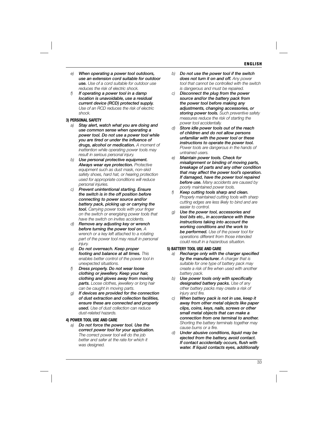- e) *When operating a power tool outdoors, use an extension cord suitable for outdoor use.* Use of a cord suitable for outdoor use reduces the risk of electric shock.
- f) *If operating a power tool in a damp location is unavoidable, use a residual current device (RCD) protected supply.*  Use of an RCD reduces the risk of electric shock.

#### **3) PERSONAL SAFETY**

- a) *Stay alert, watch what you are doing and use common sense when operating a power tool. Do not use a power tool while you are tired or under the influence of drugs, alcohol or medication.* A moment of inattention while operating power tools may result in serious personal injury.
- b) *Use personal protective equipment. Always wear eye protection.* Protective equipment such as dust mask, non-skid safety shoes, hard hat, or hearing protection used for appropriate conditions will reduce personal injuries.
- c) *Prevent unintentional starting. Ensure the switch is in the off position before connecting to power source and/or battery pack, picking up or carrying the tool.* Carrying power tools with your finger on the switch or energising power tools that have the switch on invites accidents.
- d) *Remove any adjusting key or wrench before turning the power tool on.* A wrench or a key left attached to a rotating part of the power tool may result in personal iniurv.
- e) *Do not overreach. Keep proper footing and balance at all times.* This enables better control of the power tool in unexpected situations.
- f) *Dress properly. Do not wear loose clothing or jewellery. Keep your hair, clothing and gloves away from moving parts.* Loose clothes, jewellery or long hair can be caught in moving parts.
- g) *If devices are provided for the connection of dust extraction and collection facilities, ensure these are connected and properly used.* Use of dust collection can reduce dust-related hazards.

#### **4) POWER TOOL USE AND CARE**

a) *Do not force the power tool. Use the correct power tool for your application.*  The correct power tool will do the job better and safer at the rate for which it was designed.

- b) *Do not use the power tool if the switch does not turn it on and off.* Any power tool that cannot be controlled with the switch is dangerous and must be repaired.
- c) *Disconnect the plug from the power source and/or the battery pack from the power tool before making any adjustments, changing accessories, or storing power tools.* Such preventive safety measures reduce the risk of starting the power tool accidentally.
- d) *Store idle power tools out of the reach of children and do not allow persons unfamiliar with the power tool or these instructions to operate the power tool.*  Power tools are dangerous in the hands of untrained users.
- e) *Maintain power tools. Check for misalignment or binding of moving parts, breakage of parts and any other condition that may affect the power tool's operation. If damaged, have the power tool repaired before use.* Many accidents are caused by poorly maintained power tools.
- f) *Keep cutting tools sharp and clean.*  Properly maintained cutting tools with sharp cutting edges are less likely to bind and are easier to control.
- g) *Use the power tool, accessories and tool bits etc., in accordance with these instructions taking into account the working conditions and the work to be performed.* Use of the power tool for operations different from those intended could result in a hazardous situation.

#### **5) BATTERY TOOL USE AND CARE**

- a) *Recharge only with the charger specified by the manufacturer.* A charger that is suitable for one type of battery pack may create a risk of fire when used with another battery pack.
- b) *Use power tools only with specifically designated battery packs.* Use of any other battery packs may create a risk of injury and fire.
- c) *When battery pack is not in use, keep it away from other metal objects like paper clips, coins, keys, nails, screws or other small metal objects that can make a connection from one terminal to another.*  Shorting the battery terminals together may cause burns or a fire.
- d) *Under abusive conditions, liquid may be ejected from the battery, avoid contact. If contact accidentally occurs, flush with water. If liquid contacts eyes, additionally*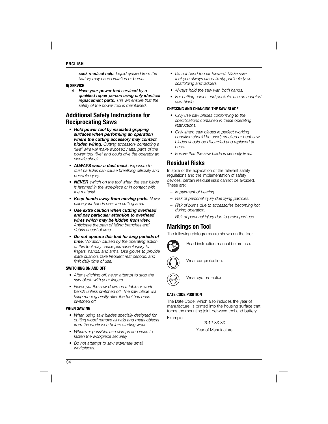seek medical help. Liquid ejected from the battery may cause irritation or burns.

#### **6) SERVICE**

a) *Have your power tool serviced by a qualified repair person using only identical replacement parts.* This will ensure that the safety of the power tool is maintained.

# **Additional Safety Instructions for Reciprocating Saws**

- *Hold power tool by insulated gripping surfaces when performing an operation where the cutting accessory may contact hidden wiring.* Cutting accessory contacting a "live" wire will make exposed metal parts of the power tool "live" and could give the operator an electric shock.
- *ALWAYS wear a dust mask.* Exposure to dust particles can cause breathing difficulty and possible injury.
- *NEVER* switch on the tool when the saw blade is jammed in the workpiece or in contact with the material.
- *Keep hands away from moving parts.* Never place your hands near the cutting area.
- *Use extra caution when cutting overhead and pay particular attention to overhead wires which may be hidden from view.* Anticipate the path of falling branches and debris ahead of time.
- • *Do not operate this tool for long periods of time.* Vibration caused by the operating action of this tool may cause permanent injury to fingers, hands, and arms. Use gloves to provide extra cushion, take frequent rest periods, and limit daily time of use.

#### **SWITCHING ON AND OFF**

- After switching off, never attempt to stop the saw blade with your fingers.
- Never put the saw down on a table or work bench unless switched off. The saw blade will keep running briefly after the tool has been switched off.

#### **WHEN SAWING**

- When using saw blades specially designed for cutting wood remove all nails and metal objects from the workpiece before starting work.
- Wherever possible, use clamps and vices to fasten the workpiece securely.
- Do not attempt to saw extremely small workpieces.
- Do not bend too far forward. Make sure that you always stand firmly, particularly on scaffolding and ladders.
- Always hold the saw with both hands.
- For cutting curves and pockets, use an adapted saw blade.

## **CHECKING AND CHANGING THE SAW BLADE**

- Only use saw blades conforming to the specifications contained in these operating instructions.
- Only sharp saw blades in perfect working condition should be used; cracked or bent saw blades should be discarded and replaced at once.
- Ensure that the saw blade is securely fixed.

# **Residual Risks**

In spite of the application of the relevant safety regulations and the implementation of safety devices, certain residual risks cannot be avoided. These are:

- Impairment of hearing.
- Risk of personal injury due flying particles.
- Risk of burns due to accessories becoming hot during operation.
- Risk of personal injury due to prolonged use.

# **Markings on Tool**

The following pictograms are shown on the tool:



Read instruction manual before use.



Wear eye protection.

## **DATE CODE POSITION**

The Date Code, which also includes the year of manufacture, is printed into the housing surface that forms the mounting joint between tool and battery. Example:

2012 XX XX

Year of Manufacture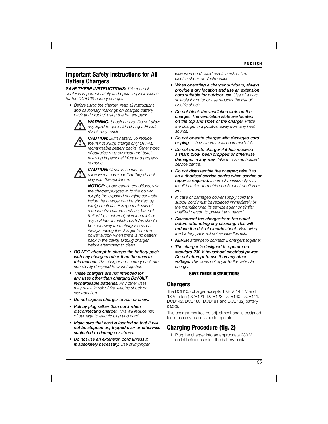# **Important Safety Instructions for All Battery Chargers**

#### **SAVE THESE INSTRUCTIONS: This manual**

contains important safety and operating instructions for the DCB105 battery charger.

 • Before using the charger, read all instructions and cautionary markings on charger, battery pack and product using the battery pack.



 *WARNING:* Shock hazard. Do not allow any liquid to get inside charger. Electric shock may result.



**CAUTION:** Burn hazard. To reduce the risk of injury, charge only DEWALT rechargeable battery packs. Other types of batteries may overheat and burst resulting in personal injury and property damage.



**CAUTION:** Children should be supervised to ensure that they do not play with the appliance.

 *NOTICE:* Under certain conditions, with the charger plugged in to the power supply, the exposed charging contacts inside the charger can be shorted by foreign material. Foreign materials of a conductive nature such as, but not limited to, steel wool, aluminum foil or any buildup of metallic particles should be kept away from charger cavities. Always unplug the charger from the power supply when there is no battery pack in the cavity. Unplug charger before attempting to clean.

- *DO NOT attempt to charge the battery pack with any chargers other than the ones in this manual.* The charger and battery pack are specifically designed to work together.
- *These chargers are not intended for any uses other than charging DEWALT rechargeable batteries.* Any other uses may result in risk of fire, electric shock or electrocution.
- *Do not expose charger to rain or snow.*
- *Pull by plug rather than cord when disconnecting charger.* This will reduce risk of damage to electric plug and cord.
- *Make sure that cord is located so that it will not be stepped on, tripped over or otherwise subjected to damage or stress.*
- *Do not use an extension cord unless it is absolutely necessary.* Use of improper

extension cord could result in risk of fire, electric shock or electrocution.

- *When operating a charger outdoors, always provide a dry location and use an extension cord suitable for outdoor use.* Use of a cord suitable for outdoor use reduces the risk of electric shock.
- *Do not block the ventilation slots on the charger. The ventilation slots are located on the top and sides of the charger.* Place the charger in a position away from any heat source.
- *Do not operate charger with damaged cord or plug* — have them replaced immediately.
- *Do not operate charger if it has received a sharp blow, been dropped or otherwise damaged in any way.* Take it to an authorised service centre.
- *Do not disassemble the charger; take it to an authorised service centre when service or repair is required.* Incorrect reassembly may result in a risk of electric shock, electrocution or fire.
- In case of damaged power supply cord the supply cord must be replaced immediately by the manufacturer, its service agent or similar qualified person to prevent any hazard.
- *Disconnect the charger from the outlet before attempting any cleaning. This will reduce the risk of electric shock.* Removing the battery pack will not reduce this risk.
- **NEVER** attempt to connect 2 chargers together.
- *The charger is designed to operate on standard 230 V household electrical power. Do not attempt to use it on any other voltage.* This does not apply to the vehicular charger.

#### **SAVE THESE INSTRUCTIONS**

## **Chargers**

The DCB105 charger accepts 10.8 V, 14.4 V and 18 V Li-Ion (DCB121, DCB123, DCB140, DCB141, DCB142, DCB180, DCB181 and DCB182) battery packs.

This charger requires no adjustment and is designed to be as easy as possible to operate.

## **Charging Procedure (fig. 2)**

 1. Plug the charger into an appropriate 230 V outlet before inserting the battery pack.

## **ENGLISH**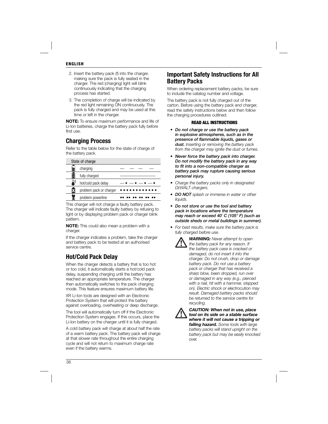- 2. Insert the battery pack (f) into the charger, making sure the pack is fully seated in the charger. The red (charging) light will blink continuously indicating that the charging process has started.
- 3. The completion of charge will be indicated by the red light remaining ON continuously. The pack is fully charged and may be used at this time or left in the charger.

**NOTE:** To ensure maximum performance and life of Li-Ion batteries, charge the battery pack fully before first use.

## **Charging Process**

Refer to the table below for the state of charge of the battery pack.

| State of charge         |  |
|-------------------------|--|
| charging                |  |
| fully charged           |  |
| hot/cold pack delay     |  |
| problem pack or charger |  |
| problem powerline       |  |

This charger will not charge a faulty battery pack. The charger will indicate faulty battery by refusing to light or by displaying problem pack or charger blink pattern.

**NOTE:** This could also mean a problem with a charger.

If the charger indicates a problem, take the charger and battery pack to be tested at an authorised service centre.

# **Hot/Cold Pack Delay**

When the charger detects a battery that is too hot or too cold, it automatically starts a hot/cold pack delay, suspending charging until the battery has reached an appropriate temperature. The charger then automatically switches to the pack charging mode. This feature ensures maximum battery life.

XR Li-Ion tools are designed with an Electronic Protection System that will protect the battery against overloading, overheating or deep discharge.

The tool will automatically turn off if the Electronic Protection System engages. If this occurs, place the Li-Ion battery on the charger until it is fully charged.

A cold battery pack will charge at about half the rate of a warm battery pack. The battery pack will charge at that slower rate throughout the entire charging cycle and will not return to maximum charge rate even if the battery warms.

# **Important Safety Instructions for All Battery Packs**

When ordering replacement battery packs, be sure to include the catalog number and voltage.

The battery pack is not fully charged out of the carton. Before using the battery pack and charger, read the safety instructions below and then follow the charging procedures outlined.

## **READ ALL INSTRUCTIONS**

- *Do not charge or use the battery pack in explosive atmospheres, such as in the presence of flammable liquids, gases or*  dust. Inserting or removing the battery pack from the charger may ignite the dust or fumes.
- *Never force the battery pack into charger. Do not modify the battery pack in any way to fit into a non-compatible charger as battery pack may rupture causing serious personal injury.*
- Charge the battery packs only in designated DEWALT chargers.
- *DO NOT* splash or immerse in water or other liquids.
- *Do not store or use the tool and battery pack in locations where the temperature may reach or exceed 40˚ C (105° F) (such as outside sheds or metal buildings in summer).*
- For best results, make sure the battery pack is fully charged before use.
	- **WARNING:** Never attempt to open the battery pack for any reason. If the battery pack case is cracked or damaged, do not insert it into the charger. Do not crush, drop or damage battery pack. Do not use a battery pack or charger that has received a sharp blow, been dropped, run over or damaged in any way (e.g., pierced with a nail, hit with a hammer, stepped on). Electric shock or electrocution may result. Damaged battery packs should be returned to the service centre for recycling.



 *CAUTION: When not in use, place tool on its side on a stable surface where it will not cause a tripping or falling hazard.* Some tools with large battery packs will stand upright on the battery pack but may be easily knocked over.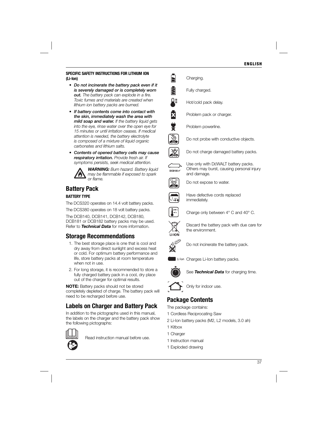#### **SPECIFIC SAFETY INSTRUCTIONS FOR LITHIUM ION (Li-Ion)**

- *Do not incinerate the battery pack even if it is severely damaged or is completely worn out.* The battery pack can explode in a fire. Toxic fumes and materials are created when lithium ion battery packs are burned.
- *If battery contents come into contact with the skin, immediately wash the area with mild soap and water.* If the battery liquid gets into the eye, rinse water over the open eye for 15 minutes or until irritation ceases. If medical attention is needed, the battery electrolyte is composed of a mixture of liquid organic carbonates and lithium salts.
- *Contents of opened battery cells may cause respiratory irritation.* Provide fresh air. If symptoms persists, seek medical attention.

#### **WARNING:** Burn hazard. Battery liquid may be flammable if exposed to spark or flame.

**Battery Pack**

## **BATTERY TYPE**

The DCS320 operates on 14.4 volt battery packs.

The DCS380 operates on 18 volt battery packs.

The DCB140, DCB141, DCB142, DCB180, DCB181 or DCB182 battery packs may be used. Refer to *Technical Data* for more information.

## **Storage Recommendations**

- 1. The best storage place is one that is cool and dry away from direct sunlight and excess heat or cold. For optimum battery performance and life, store battery packs at room temperature when not in use.
- 2. For long storage, it is recommended to store a fully charged battery pack in a cool, dry place out of the charger for optimal results.

**NOTE:** Battery packs should not be stored completely depleted of charge. The battery pack will need to be recharged before use.

# **Labels on Charger and Battery Pack**

In addition to the pictographs used in this manual, the labels on the charger and the battery pack show the following pictographs:



Read instruction manual before use.

- Charging.
- Fully charged.
- Hot/cold pack delay.
- **x** Problem pack or charger.



Do not probe with conductive objects.



N

Ė

QΞ

Do not charge damaged battery packs.



 Use only with DEWALT battery packs. Others may burst, causing personal injury and damage.



Do not expose to water.



 Have defective cords replaced immediately.



Charge only between 4° C and 40° C.



 Discard the battery pack with due care for the environment.



Do not incinerate the battery pack.

Lilon Charges Li-Ion battery packs.



See *Technical Data* for charging time.



# **Package Contents**

The package contains:

- 1 Cordless Reciprocating Saw
- 2 Li-Ion battery packs (M2, L2 models, 3.0 ah)
- 1 Kitbox
- 1 Charger
- 1 Instruction manual
- 1 Exploded drawing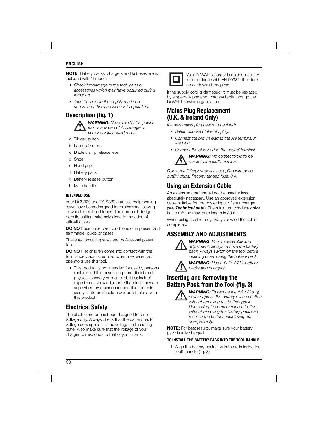**NOTE**: Battery packs, chargers and kitboxes are not included with N-models.

- Check for damage to the tool, parts or accessories which may have occurred during transport.
- Take the time to thoroughly read and understand this manual prior to operation.

## **Description (fig. 1)**



tool or any part of it. Damage or personal injury could result.

- a. Trigger switch
- b. Lock-off button
- c. Blade clamp release lever
- d. Shoe
- e. Hand grip
- f. Battery pack
- g. Battery release button
- h. Main handle

## **INTENDED USE**

Your DCS320 and DCS380 cordless reciprocating saws have been designed for professional sawing of wood, metal and tubes. The compact design permits cutting extremely close to the edge of difficult areas.

**DO NOT** use under wet conditions or in presence of flammable liquids or gases.

These reciprocating saws are professional power tools.

**DO NOT** let children come into contact with the tool. Supervision is required when inexperienced operators use this tool.

 • This product is not intended for use by persons (including children) suffering from diminished physical, sensory or mental abilities; lack of experience, knowledge or skills unless they are supervised by a person responsible for their safety. Children should never be left alone with this product.

# **Electrical Safety**

The electric motor has been designed for one voltage only. Always check that the battery pack voltage corresponds to the voltage on the rating plate. Also make sure that the voltage of your charger corresponds to that of your mains.



 Your DEWALT charger is double insulated in accordance with EN 60335; therefore no earth wire is required.

If the supply cord is damaged, it must be replaced by a specially prepared cord available through the DEWALT service organization.

# **Mains Plug Replacement (U.K. & Ireland Only)**

If a new mains plug needs to be fitted:

- Safely dispose of the old plug.
- Connect the brown lead to the live terminal in the plug.
- Connect the blue lead to the neutral terminal.



**WARNING:** No connection is to be made to the earth terminal.

Follow the fitting instructions supplied with good quality plugs. Recommended fuse: 3 A.

## **Using an Extension Cable**

An extension cord should not be used unless absolutely necessary. Use an approved extension cable suitable for the power input of your charger (see *Technical data*). The minimum conductor size is 1 mm2; the maximum length is 30 m.

When using a cable reel, always unwind the cable completely.

## **ASSEMBLY AND ADJUSTMENTS**



**WARNING:** Prior to assembly and adjustment, always remove the battery pack. Always switch off the tool before inserting or removing the battery pack.

**WARNING:** Use only DEWALT battery packs and chargers.

# **Inserting and Removing the Battery Pack from the Tool (fig. 3)**



 *WARNING:* To reduce the risk of injury, never depress the battery release button without removing the battery pack. Depressing the battery release button without removing the battery pack can result in the battery pack falling out unexpectedly.

**NOTE:** For best results, make sure your battery pack is fully charged.

#### **TO INSTALL THE BATTERY PACK INTO THE TOOL HANDLE**

1. Align the battery pack (f) with the rails inside the tool's handle (fig. 3).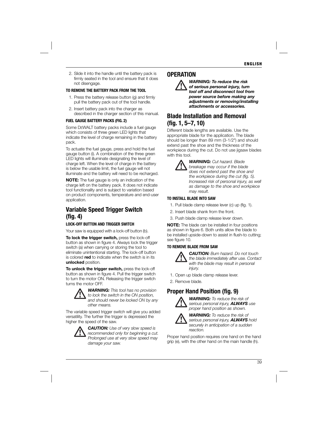2. Slide it into the handle until the battery pack is firmly seated in the tool and ensure that it does not disengage.

#### **TO REMOVE THE BATTERY PACK FROM THE TOOL**

- 1. Press the battery release button (g) and firmly pull the battery pack out of the tool handle.
- 2. Insert battery pack into the charger as described in the charger section of this manual.

#### **FUEL GAUGE BATTERY PACKS (FIG. 2)**

Some DEWALT battery packs include a fuel gauge which consists of three green LED lights that indicate the level of charge remaining in the battery pack.

To actuate the fuel gauge, press and hold the fuel gauge button (i). A combination of the three green LED lights will illuminate designating the level of charge left. When the level of charge in the battery is below the usable limit, the fuel gauge will not illuminate and the battery will need to be recharged.

**NOTE:** The fuel gauge is only an indication of the charge left on the battery pack. It does not indicate tool functionality and is subject to variation based on product components, temperature and end-user application.

# **Variable Speed Trigger Switch (fi g. 4)**

#### **LOCK-OFF BUTTON AND TRIGGER SWITCH**

Your saw is equipped with a lock-off button (b).

**To lock the trigger switch,** press the lock-off button as shown in figure 4. Always lock the trigger switch (a) when carrying or storing the tool to eliminate unintentional starting. The lock-off button is colored **red** to indicate when the switch is in its **unlocked** position.

**To unlock the trigger switch,** press the lock-off button as shown in figure 4. Pull the trigger switch to turn the motor ON. Releasing the trigger switch turns the motor OFF.



 *WARNING:* This tool has no provision to lock the switch in the ON position, and should never be locked ON by any other means.

The variable speed trigger switch will give you added versatility. The further the trigger is depressed the higher the speed of the saw.



**CAUTION:** Use of very slow speed is recommended only for beginning a cut. Prolonged use at very slow speed may damage your saw.

# **OPERATION**



 *WARNING: To reduce the risk of serious personal injury, turn tool off and disconnect tool from power source before making any adjustments or removing/installing attachments or accessories.*

# **Blade Installation and Removal (fi g. 1, 5–7, 10)**

Different blade lengths are available. Use the appropriate blade for the application. The blade should be longer than 89 mm (3-1/2") and should extend past the shoe and the thickness of the workpiece during the cut. Do not use jigsaw blades with this tool.



 *WARNING:* Cut hazard. Blade breakage may occur if the blade does not extend past the shoe and the workpiece during the cut (fig. 5). Increased risk of personal injury, as well as damage to the shoe and workpiece may result.

#### **TO INSTALL BLADE INTO SAW**

- 1. Pull blade clamp release lever (c) up (fig. 1).
- 2. Insert blade shank from the front.
- 3. Push blade clamp release lever down.

**NOTE:** The blade can be installed in four positions as shown in figure 6. Both units allow the blade to be installed upside-down to assist in flush-to cutting; see figure 10.

## **TO REMOVE BLADE FROM SAW**



**CAUTION:** Burn hazard. Do not touch the blade immediately after use. Contact with the blade may result in personal injurv.

- 1. Open up blade clamp release lever.
- 2. Remove blade.

## **Proper Hand Position (fig. 9)**



 *WARNING:* To reduce the risk of serious personal injury, *ALWAYS* use proper hand position as shown.



 *WARNING:* To reduce the risk of serious personal injury, *ALWAYS* hold securely in anticipation of a sudden reaction.

Proper hand position requires one hand on the hand grip (e), with the other hand on the main handle (h).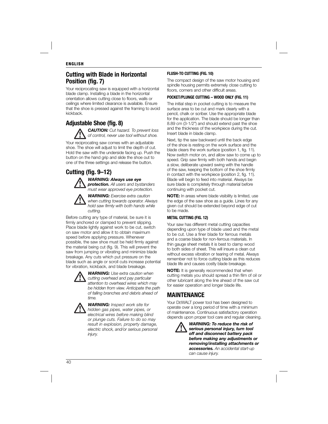# **Cutting with Blade in Horizontal Position (fig. 7)**

Your reciprocating saw is equipped with a horizontal blade clamp. Installing a blade in the horizontal orientation allows cutting close to floors, walls or ceilings where limited clearance is available. Ensure that the shoe is pressed against the framing to avoid kickback.

## Adjustable Shoe (fig. 8)

**CAUTION:** Cut hazard. To prevent loss of control, never use tool without shoe.

Your reciprocating saw comes with an adjustable shoe. The shoe will adjust to limit the depth of cut. Hold the saw with the underside facing up. Push the button on the hand grip and slide the shoe out to one of the three settings and release the button.

# **Cutting (fig. 9–12)**



*WARNING: Always use eye* 

**protection.** All users and bystanders must wear approved eye protection.



**WARNING:** Exercise extra caution when cutting towards operator. Always hold saw firmly with both hands while cutting.

Before cutting any type of material, be sure it is firmly anchored or clamped to prevent slipping. Place blade lightly against work to be cut, switch on saw motor and allow it to obtain maximum speed before applying pressure. Whenever possible, the saw shoe must be held firmly against the material being cut (fig. 9). This will prevent the saw from jumping or vibrating and minimize blade breakage. Any cuts which put pressure on the blade such as angle or scroll cuts increase potential for vibration, kickback, and blade breakage.



 *WARNING:* Use extra caution when cutting overhead and pay particular attention to overhead wires which may be hidden from view. Anticipate the path of falling branches and debris ahead of time.



 *WARNING:* Inspect work site for hidden gas pipes, water pipes, or electrical wires before making blind or plunge cuts. Failure to do so may result in explosion, property damage, electric shock, and/or serious personal injury.

## **FLUSH-TO CUTTING (FIG. 10)**

The compact design of the saw motor housing and spindle housing permits extremely close cutting to floors, corners and other difficult areas.

#### **POCKET/PLUNGE CUTTING – WOOD ONLY (FIG. 11)**

The initial step in pocket cutting is to measure the surface area to be cut and mark clearly with a pencil, chalk or scriber. Use the appropriate blade for the application. The blade should be longer than 8.89 cm (3-1/2") and should extend past the shoe and the thickness of the workpiece during the cut. Insert blade in blade clamp.

Next, tip the saw backward until the back edge of the shoe is resting on the work surface and the blade clears the work surface (position 1, fig. 11). Now switch motor on, and allow saw to come up to speed. Grip saw firmly with both hands and begin a slow, deliberate upward swing with the handle of the saw, keeping the bottom of the shoe firmly in contact with the workpiece (position 2, fig. 11). Blade will begin to feed into material. Always be sure blade is completely through material before continuing with pocket cut.

**NOTE:** In areas where blade visibility is limited, use the edge of the saw shoe as a guide. Lines for any given cut should be extended beyond edge of cut to be made.

#### **METAL CUTTING (FIG. 12)**

Your saw has different metal cutting capacities depending upon type of blade used and the metal to be cut. Use a finer blade for ferrous metals and a coarse blade for non-ferrous materials. In thin gauge sheet metals it is best to clamp wood to both sides of sheet. This will insure a clean cut without excess vibration or tearing of metal. Always remember not to force cutting blade as this reduces blade life and causes costly blade breakage.

**NOTE:** It is generally recommended that when cutting metals you should spread a thin film of oil or other lubricant along the line ahead of the saw cut for easier operation and longer blade life.

## **MAINTENANCE**

Your DEWALT power tool has been designed to operate over a long period of time with a minimum of maintenance. Continuous satisfactory operation depends upon proper tool care and regular cleaning.



 *WARNING: To reduce the risk of serious personal injury, turn tool off and disconnect battery pack before making any adjustments or removing/installing attachments or accessories.* An accidental start-up can cause injury.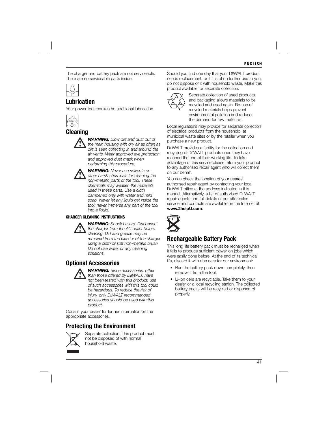The charger and battery pack are not serviceable. There are no serviceable parts inside.



# **Lubrication**

Your power tool requires no additional lubrication.



**Cleaning**



 *WARNING:* Blow dirt and dust out of the main housing with dry air as often as dirt is seen collecting in and around the air vents. Wear approved eye protection and approved dust mask when performing this procedure.



 *WARNING:* Never use solvents or other harsh chemicals for cleaning the non-metallic parts of the tool. These chemicals may weaken the materials used in these parts. Use a cloth dampened only with water and mild soap. Never let any liquid get inside the tool; never immerse any part of the tool into a liquid.

#### **CHARGER CLEANING INSTRUCTIONS**



 *WARNING:* Shock hazard. Disconnect the charger from the AC outlet before cleaning. Dirt and grease may be removed from the exterior of the charger using a cloth or soft non-metallic brush. Do not use water or any cleaning solutions.

# **Optional Accessories**



 *WARNING:* Since accessories, other than those offered by DEWALT, have not been tested with this product, use of such accessories with this tool could be hazardous. To reduce the risk of injury, only DEWALT recommended accessories should be used with this product.

Consult your dealer for further information on the appropriate accessories.

## **Protecting the Environment**



 Separate collection. This product must not be disposed of with normal household waste.

Should you find one day that your DEWALT product needs replacement, or if it is of no further use to you, do not dispose of it with household waste. Make this product available for separate collection.



 Separate collection of used products and packaging allows materials to be recycled and used again. Re-use of recycled materials helps prevent environmental pollution and reduces the demand for raw materials.

Local regulations may provide for separate collection of electrical products from the household, at municipal waste sites or by the retailer when you purchase a new product.

DEWALT provides a facility for the collection and recycling of DEWALT products once they have reached the end of their working life. To take advantage of this service please return your product to any authorised repair agent who will collect them on our behalf.

You can check the location of your nearest authorised repair agent by contacting your local DEWALT office at the address indicated in this manual. Alternatively, a list of authorised DEWALT repair agents and full details of our after-sales service and contacts are available on the Internet at: **www.2helpU.com**.



## **Rechargeable Battery Pack**

This long life battery pack must be recharged when it fails to produce sufficient power on jobs which were easily done before. At the end of its technical life, discard it with due care for our environment:

- Run the battery pack down completely, then remove it from the tool.
- Li-Ion cells are recyclable. Take them to your dealer or a local recycling station. The collected battery packs will be recycled or disposed of properly.